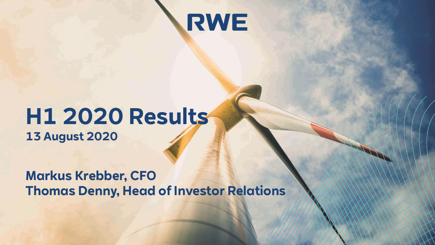

## **H1 2020 Results 13 August 2020**

**Markus Krebber, CFO Thomas Denny, Head of Investor Relations**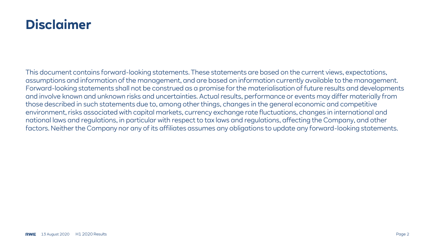### **Disclaimer**

This document contains forward-looking statements. These statements are based on the current views, expectations, assumptions and information of the management, and are based on information currently available to the management. Forward-looking statements shall not be construed as a promise for the materialisation of future results and developments and involve known and unknown risks and uncertainties. Actual results, performance or events may differ materially from those described in such statements due to, among other things, changes in the general economic and competitive environment, risks associated with capital markets, currency exchange rate fluctuations, changes in international and national laws and regulations, in particular with respect to tax laws and regulations, affecting the Company, and other factors. Neither the Company nor any of its affiliates assumes any obligations to update any forward-looking statements.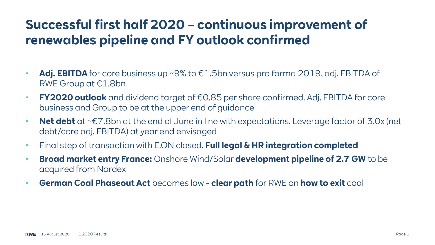### **Successful first half 2020 – continuous improvement of renewables pipeline and FY outlook confirmed**

- **Adj. EBITDA** for core business up ~9% to €1.5bn versus pro forma 2019, adj. EBITDA of RWE Group at €1.8bn
- **FY2020 outlook** and dividend target of €0.85 per share confirmed. Adj. EBITDA for core business and Group to be at the upper end of guidance
- **Net debt** at ~€7.8bn at the end of June in line with expectations. Leverage factor of 3.0x (net debt/core adj. EBITDA) at year end envisaged
- Final step of transaction with E.ON closed. **Full legal & HR integration completed**
- **Broad market entry France:** Onshore Wind/Solar **development pipeline of 2.7 GW** to be acquired from Nordex
- **German Coal Phaseout Act** becomes law **clear path** for RWE on **how to exit** coal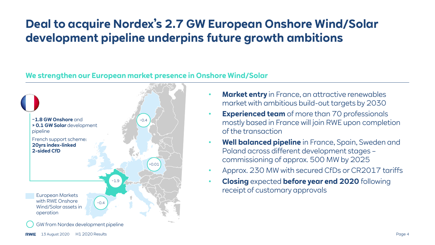### **Deal to acquire Nordex's 2.7 GW European Onshore Wind/Solar development pipeline underpins future growth ambitions**

#### **We strengthen our European market presence in Onshore Wind/Solar**



- **Market entry** in France, an attractive renewables market with ambitious build-out targets by 2030
- **Experienced team** of more than 70 professionals mostly based in France will join RWE upon completion of the transaction
- **Well balanced pipeline** in France, Spain, Sweden and Poland across different development stages – commissioning of approx. 500 MW by 2025
- Approx. 230 MW with secured CfDs or CR2017 tariffs
- **Closing** expected **before year end 2020** following receipt of customary approvals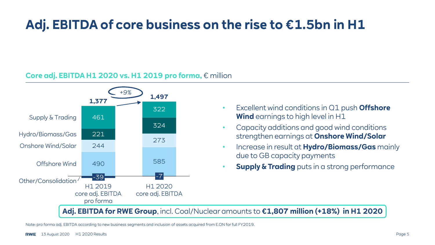### **Adj. EBITDA of core business on the rise to €1.5bn in H1**

#### **Core adj. EBITDA H1 2020 vs. H1 2019 pro forma,** € million



- Excellent wind conditions in Q1 push **Offshore Wind** earnings to high level in H1
- Capacity additions and good wind conditions strengthen earnings at **Onshore Wind/Solar**
- Increase in result at **Hydro/Biomass/Gas** mainly due to GB capacity payments
- **Supply & Trading** puts in a strong performance

**Adj. EBITDA for RWE Group**, incl. Coal/Nuclear amounts to **€1,807 million (+18%) in H1 2020**

Note: pro forma adj. EBITDA according to new business segments and inclusion of assets acquired from E.ON for full FY2019.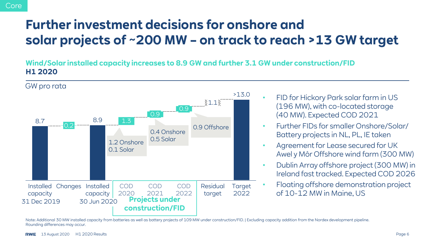### **Further investment decisions for onshore and solar projects of ~200 MW – on track to reach >13 GW target**

**Wind/Solar installed capacity increases to 8.9 GW and further 3.1 GW under construction/FID H1 2020**



Note: Additional 30 MW installed capacity from batteries as well as battery projects of 109 MW under construction/FID. | Excluding capacity addition from the Nordex development pipeline. Rounding differences may occur.

Core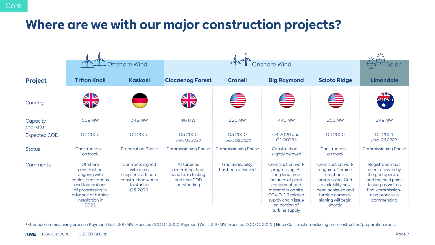### **Where are we with our major construction projects?**

|                      | Coffshore Wind                                                                                                                                            |                                                                                                       |                                                                                        | Onshore Wind                           |                                                                                                                                                                                                   |                                                                                                                                                                               |                                                                                                                                                                    |
|----------------------|-----------------------------------------------------------------------------------------------------------------------------------------------------------|-------------------------------------------------------------------------------------------------------|----------------------------------------------------------------------------------------|----------------------------------------|---------------------------------------------------------------------------------------------------------------------------------------------------------------------------------------------------|-------------------------------------------------------------------------------------------------------------------------------------------------------------------------------|--------------------------------------------------------------------------------------------------------------------------------------------------------------------|
| <b>Project</b>       | <b>Triton Knoll</b>                                                                                                                                       | <b>Kaskasi</b>                                                                                        | <b>Clocaenog Forest</b>                                                                | <b>Cranell</b>                         | <b>Big Raymond</b>                                                                                                                                                                                | <b>Scioto Ridge</b>                                                                                                                                                           | <b>Limondale</b>                                                                                                                                                   |
| Country              | <b>SIA</b><br>ZIP                                                                                                                                         |                                                                                                       | <b>AR</b><br>Tr                                                                        |                                        |                                                                                                                                                                                                   |                                                                                                                                                                               | $\frac{1}{\sqrt{K}}$                                                                                                                                               |
| Capacity<br>pro rata | 509 MW                                                                                                                                                    | 342 MW                                                                                                | <b>96 MW</b>                                                                           | 220 MW                                 | 440 MW                                                                                                                                                                                            | <b>250 MW</b>                                                                                                                                                                 | 249 MW                                                                                                                                                             |
| <b>Expected COD</b>  | 01 20 22                                                                                                                                                  | Q4 2022                                                                                               | 03 20 20<br>prev. Q2 2020                                                              | 03 20 20<br>prev. Q2 2020              | 04 2020 and<br>01 2021 <sup>1</sup>                                                                                                                                                               | 04 20 20                                                                                                                                                                      | 01 20 21<br>prev. Q4 2020                                                                                                                                          |
| <b>Status</b>        | Construction -<br>on track                                                                                                                                | <b>Preparation Phase</b>                                                                              | <b>Commissioning Phase</b>                                                             | <b>Commissioning Phase</b>             | Construction -<br>slightly delayed                                                                                                                                                                | Construction -<br>on track                                                                                                                                                    | <b>Commissioning Phase</b>                                                                                                                                         |
| Comments             | Offshore<br>construction<br>ongoing with<br>cables, substations<br>and foundations<br>all progressing in<br>advance of turbine<br>installation in<br>2021 | Contracts signed<br>with main<br>suppliers; offshore<br>construction works<br>to start in<br>03 20 21 | All turbines<br>generating, final<br>wind farm testing<br>and final COD<br>outstanding | Grid availability<br>has been achieved | Construction work<br>progressing. All<br>long lead time<br>balance of plant<br>equipment and<br>material is on site.<br>COVID-19 related<br>supply chain issue<br>on portion of<br>turbine supply | <b>Construction work</b><br>ongoing. Turbine<br>erection is<br>progressing. Grid<br>availability has<br>been achieved and<br>turbine commis-<br>sioning will begin<br>shortly | <b>Registration has</b><br>been received by<br>the grid operator<br>and the hold point<br>testing as well as<br>final commission-<br>ning process is<br>commencing |

<sup>1</sup> Gradual commissioning process: Raymond East, 200 MW expected COD Q4 2020, Raymond West, 240 MW expected COD Q1 2021. | Note: Construction including pre-construction/preparation works.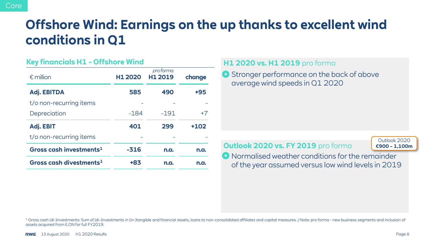### **Offshore Wind: Earnings on the up thanks to excellent wind conditions in Q1**

#### **Key financials H1 - Offshore Wind**

| $\epsilon$ million                  | H1 2020 | pro forma<br>H1 2019 | change |  |
|-------------------------------------|---------|----------------------|--------|--|
| <b>Adj. EBITDA</b>                  | 585     | 490                  | +95    |  |
| t/o non-recurring items             |         |                      |        |  |
| Depreciation                        | $-184$  | $-191$               | $+7$   |  |
| Adj. EBIT                           | 401     | 299                  | $+102$ |  |
| t/o non-recurring items             |         |                      |        |  |
| Gross cash investments <sup>1</sup> | $-316$  | n.a.                 | n.a.   |  |
| Gross cash divestments <sup>1</sup> | +83     | n.a.                 | n.a.   |  |

#### **H1 2020 vs. H1 2019** pro forma

**Stronger performance on the back of above** average wind speeds in Q1 2020

#### **Outlook 2020 vs. FY 2019** pro forma

Outlook 2020 **€900 – 1,100m**

**O** Normalised weather conditions for the remainder of the year assumed versus low wind levels in 2019

1 Gross cash (di-)investments: Sum of (di-)investments in (in-)tangible and financial assets, loans to non-consolidated affiliates and capital measures. | Note: pro forma - new business segments and inclusion of assets acquired from E.ON for full FY2019.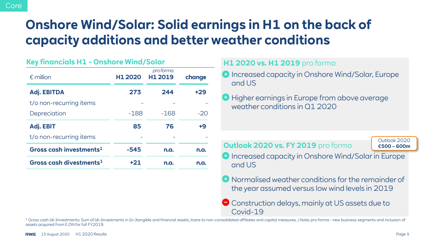### **Onshore Wind/Solar: Solid earnings in H1 on the back of capacity additions and better weather conditions**

| Key financials H1 - Onshore Wind/Solar |         |                      |        |  |
|----------------------------------------|---------|----------------------|--------|--|
| $\epsilon$ million                     | H1 2020 | pro forma<br>H1 2019 | change |  |
| <b>Adj. EBITDA</b>                     | 273     | 244                  | $+29$  |  |
| t/o non-recurring items                |         |                      |        |  |
| Depreciation                           | $-188$  | $-168$               | $-20$  |  |
| Adj. EBIT                              | 85      | 76                   | +9     |  |
| t/o non-recurring items                |         |                      |        |  |
| Gross cash investments $1$             | -545    | n.a.                 | n.a.   |  |
| Gross cash divestments <sup>1</sup>    | $+21$   | n.a.                 | n.a.   |  |
|                                        |         |                      |        |  |

#### **H1 2020 vs. H1 2019** pro forma

- Increased capacity in Onshore Wind/Solar, Europe and US
- **Higher earnings in Europe from above average** weather conditions in Q1 2020

**Outlook 2020 vs. FY 2019** pro forma

Outlook 2020 **€500 – 600m**

- **D** Increased capacity in Onshore Wind/Solar in Europe and US
- Normalised weather conditions for the remainder of the year assumed versus low wind levels in 2019
- Construction delays, mainly at US assets due to Covid-19

1 Gross cash (di-)investments: Sum of (di-)investments in (in-)tangible and financial assets, loans to non-consolidated affiliates and capital measures. | Note: pro forma - new business segments and inclusion of assets acquired from E.ON for full FY2019.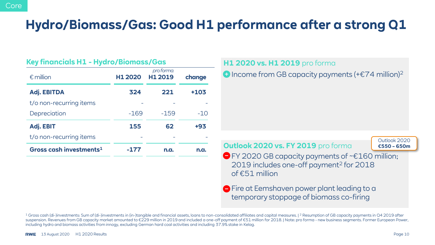### **Hydro/Biomass/Gas: Good H1 performance after a strong Q1**

|                                     | <u> Key financiais H1 - Hydro/Biomass/Gas</u> |                      |        |  |  |
|-------------------------------------|-----------------------------------------------|----------------------|--------|--|--|
| $\epsilon$ million                  | H1 2020                                       | pro forma<br>H1 2019 | change |  |  |
| <b>Adj. EBITDA</b>                  | 324                                           | 221                  | +103   |  |  |
| t/o non-recurring items             |                                               |                      |        |  |  |
| Depreciation                        | $-169$                                        | $-159$               | $-10$  |  |  |
| Adj. EBIT                           | 155                                           | 62                   | +93    |  |  |
| t/o non-recurring items             |                                               |                      |        |  |  |
| Gross cash investments <sup>1</sup> | -177                                          | n.a.                 | n.a.   |  |  |

**Key financials H1 - Hydro/Biomass/Gas**

### **H1 2020 vs. H1 2019** pro forma

 $\bullet$  Income from GB capacity payments (+ $\epsilon$ 74 million)<sup>2</sup>

**Outlook 2020 vs. FY 2019** pro forma

Outlook 2020 **€550 – 650m**

FY 2020 GB capacity payments of ~€160 million; 2019 includes one-off payment<sup>2</sup> for 2018 of €51 million

 $\ominus$  Fire at Eemshaven power plant leading to a temporary stoppage of biomass co-firing

<sup>1</sup> Gross cash (di-)investments: Sum of (di-)investments in (in-)tangible and financial assets, loans to non-consolidated affiliates and capital measures. | <sup>2</sup> Resumption of GB capacity payments in Q4 2019 after suspension. Revenues from GB capacity market amounted to €229 million in 2019 and included a one-off payment of €51 million for 2018. | Note: pro forma - new business segments. Former European Power, including hydro and biomass activities from innogy, excluding German hard coal activities and including 37.9% stake in Kelag.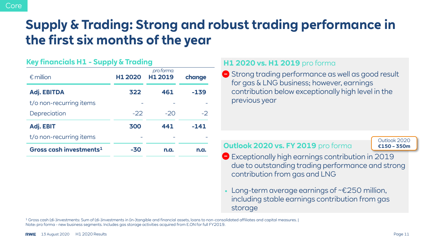### **Supply & Trading: Strong and robust trading performance in the first six months of the year**

#### **Key financials H1 - Supply & Trading**

| $\epsilon$ million                  | H1 2020 | pro forma<br>H1 2019 | change |
|-------------------------------------|---------|----------------------|--------|
| <b>Adj. EBITDA</b>                  | 322     | 461                  | $-139$ |
| t/o non-recurring items             |         |                      |        |
| Depreciation                        | $-22$   | $-20$                | $-2$   |
| Adj. EBIT                           | 300     | 441                  | $-141$ |
| t/o non-recurring items             |         |                      |        |
| Gross cash investments <sup>1</sup> | -30     | n.a.                 | n.a.   |

#### **H1 2020 vs. H1 2019** pro forma

**●** Strong trading performance as well as good result for gas & LNG business; however, earnings contribution below exceptionally high level in the previous year

#### **Outlook 2020 vs. FY 2019** pro forma

Outlook 2020 **€150 – 350m**

- Exceptionally high earnings contribution in 2019 due to outstanding trading performance and strong contribution from gas and LNG
- Long-term average earnings of ~ $\epsilon$ 250 million, including stable earnings contribution from gas storage

<sup>1</sup> Gross cash (di-)investments: Sum of (di-)investments in (in-)tangible and financial assets, loans to non-consolidated affiliates and capital measures. | Note: pro forma - new business segments. Includes gas storage activities acquired from E.ON for full FY2019.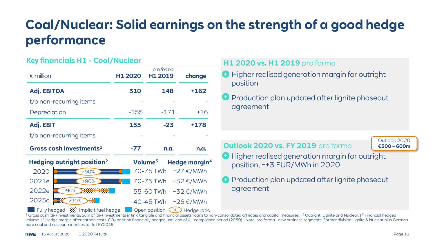### **Coal/Nuclear: Solid earnings on the strength of a good hedge performance**

#### **Key financials H1 - Coal/Nuclear**

| $\epsilon$ million                  |                                        | H1 2020 | pro forma<br>H1 2019 | change                    |
|-------------------------------------|----------------------------------------|---------|----------------------|---------------------------|
| <b>Adj. EBITDA</b>                  |                                        | 310     | 148                  | +162                      |
|                                     | t/o non-recurring items                |         |                      |                           |
| Depreciation                        |                                        | $-155$  | $-171$               | $+16$                     |
| Adj. EBIT                           |                                        | 155     | $-23$                | +178                      |
| t/o non-recurring items             |                                        |         |                      |                           |
| Gross cash investments <sup>1</sup> |                                        | $-77$   | n.a.                 | n.a.                      |
|                                     | Hedging outright position <sup>2</sup> |         | Volume <sup>3</sup>  | Hedge margin <sup>4</sup> |
| 2020                                | >90%                                   |         | 70-75 TWh            | $~\sim$ 27 €/MWh          |
| 2021e                               | >90%                                   |         | 70-75 TWh            | $~52 \text{ E/MWh}$       |
| 2022e                               | >90%                                   |         | 55-60 TWh            | $~52 \text{ E/MWh}$       |
| 2023e                               | >90%                                   |         | 40-45 TWh            | $~\sim$ 26 €/MWh          |
|                                     | Fully hedged /// Implicit fuel hedge   |         | Open position        | % Hedge ratio             |

#### **H1 2020 vs. H1 2019** pro forma

- **Higher realised generation margin for outright** position
- **P** Production plan updated after lignite phaseout agreement

**Outlook 2020 vs. FY 2019** pro forma

Outlook 2020 **€500 – 600m**

**Higher realised generation margin for outright** position, ~+3 EUR/MWh in 2020

**P** Production plan updated after lignite phaseout agreement

<sup>1</sup> Gross cash (di-) investments: Sum of (di-) investments in (in-) tangible and financial assets, loans to non-consolidated affiliates and capital measures. | <sup>2</sup> Outright: Lignite and Nuclear. | <sup>3</sup> Financial hedged volume. | 4 Hedge margin after carbon costs. CO<sub>2</sub> position financially hedged until end of 4<sup>th</sup> compliance period (2030). | Note: pro forma - new business segments. Former division Lignite & Nuclear plus German hard coal and nuclear minorities for full FY2019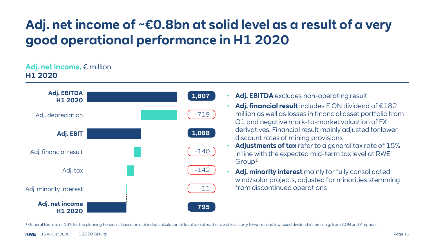### **Adj. net income of ~€0.8bn at solid level as a result of a very good operational performance in H1 2020**

#### **Adj. net income,** € million **H1 2020**



- Adj. EBITDA excludes non-operating result
- **Adj. financial result** includes E.ON dividend of €182 million as well as losses in financial asset portfolio from Q1 and negative mark-to-market valuation of FX derivatives. Financial result mainly adjusted for lower discount rates of mining provisions
- **Adjustments of tax** refer to a general tax rate of 15% in line with the expected mid-term tax level at RWE
- **Adj. minority interest** mainly for fully consolidated wind/solar projects, adjusted for minorities stemming from discontinued operations

<sup>1</sup> General tax rate of 15% for the planning horizon is based on a blended calculation of local tax rates, the use of loss carry forwards and low taxed dividend income, e.g. from E.ON and Amprion.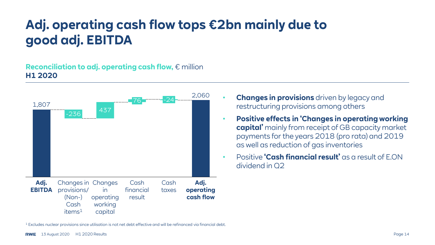### **Adj. operating cash flow tops €2bn mainly due to good adj. EBITDA**

#### **Reconciliation to adj. operating cash flow,** € million **H1 2020**



- **Changes in provisions** driven by legacy and restructuring provisions among others
- **Positive effects in 'Changes in operating working capital'** mainly from receipt of GB capacity market payments for the years 2018 (pro rata) and 2019 as well as reduction of gas inventories
- Positive **'Cash financial result'** as a result of E.ON dividend in Q2

<sup>1</sup> Excludes nuclear provisions since utilisation is not net debt effective and will be refinanced via financial debt.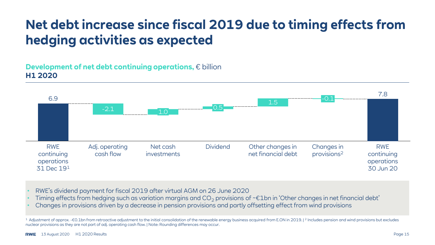### **Net debt increase since fiscal 2019 due to timing effects from hedging activities as expected**

#### **Development of net debt continuing operations,** € billion **H1 2020**



- RWE's dividend payment for fiscal 2019 after virtual AGM on 26 June 2020
- Timing effects from hedging such as variation margins and  $CO_2$  provisions of ~ $\epsilon$ 1bn in 'Other changes in net financial debt'
- Changes in provisions driven by a decrease in pension provisions and partly offsetting effect from wind provisions

<sup>&</sup>lt;sup>1</sup> Adjustment of approx. -€0.1bn from retroactive adjustment to the initial consolidation of the renewable energy business acquired from E.ON in 2019. | <sup>2</sup> Includes pension and wind provisions but excludes nuclear provisions as they are not part of adj. operating cash flow. | Note: Rounding differences may occur.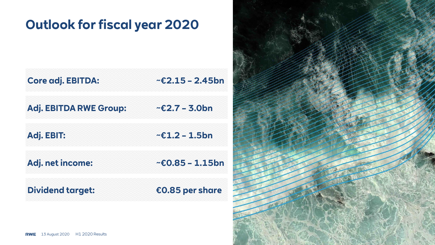### **Outlook for fiscal year 2020**

| <b>Core adj. EBITDA:</b>      | $E$ 2.15 - 2.45bn     |
|-------------------------------|-----------------------|
| <b>Adj. EBITDA RWE Group:</b> | $\sim$ £2.7 – 3.0bn   |
| Adj. EBIT:                    | $\sim$ £1.2 – 1.5bn   |
| Adj. net income:              | $~5$ - £0.85 - 1.15bn |
| <b>Dividend target:</b>       | €0.85 per share       |

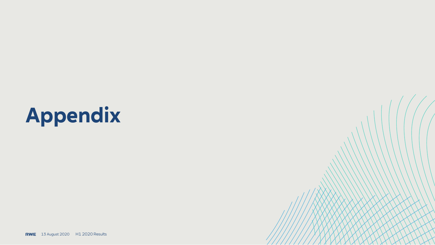# **Appendix**

**RWE** 13 August 2020 H1 2020 Results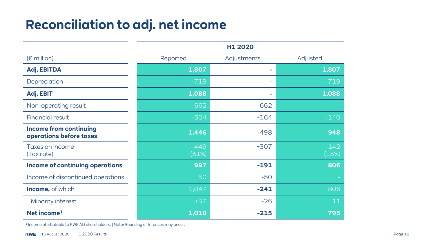### **Reconciliation to adj. net income**

|                                                          | H1 2020         |             |                 |
|----------------------------------------------------------|-----------------|-------------|-----------------|
| $(E \text{ million})$                                    | Reported        | Adjustments | Adjusted        |
| Adj. EBITDA                                              | 1,807           | <b>COL</b>  | 1,807           |
| Depreciation                                             | $-719$          |             | $-719$          |
| Adj. EBIT                                                | 1,088           | $\sim$      | 1,088           |
| Non-operating result                                     | 662             | $-662$      |                 |
| <b>Financial result</b>                                  | $-304$          | $+164$      | $-140$          |
| <b>Income from continuing</b><br>operations before taxes | 1,446           | $-498$      | 948             |
| Taxes on income<br>(Tax rate)                            | $-449$<br>(31%) | $+307$      | $-142$<br>(15%) |
| <b>Income of continuing operations</b>                   | 997             | $-191$      | 806             |
| Income of discontinued operations                        | 50              | $-50$       |                 |
| <b>Income, of which</b>                                  | 1,047           | $-241$      | 806             |
| Minority interest                                        | $+37$           | $-26$       | 11              |
| Net income <sup>1</sup>                                  | 1,010           | $-215$      | 795             |

<sup>1</sup> Income attributable to RWE AG shareholders. | Note: Rounding differences may occur.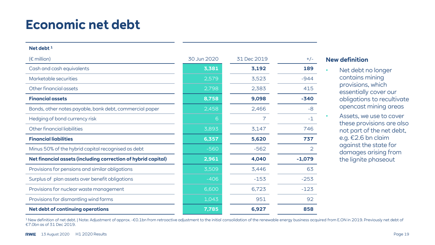### **Economic net debt**

#### **Net debt <sup>1</sup>**

| $(\epsilon$ million)                                          | 30 Jun 2020 | 31 Dec 2019 | $+/-$          |
|---------------------------------------------------------------|-------------|-------------|----------------|
| Cash and cash equivalents                                     | 3,381       | 3,192       | 189            |
| Marketable securities                                         | 2,579       | 3,523       | $-944$         |
| Other financial assets                                        | 2,798       | 2,383       | 415            |
| <b>Financial assets</b>                                       | 8,758       | 9,098       | $-340$         |
| Bonds, other notes payable, bank debt, commercial paper       | 2,458       | 2,466       | -8             |
| Hedging of bond currency risk                                 | 6           | 7           | $-1$           |
| Other financial liabilities                                   | 3,893       | 3,147       | 746            |
| <b>Financial liabilities</b>                                  | 6,357       | 5,620       | 737            |
| Minus 50% of the hybrid capital recognised as debt            | $-560$      | $-562$      | $\overline{2}$ |
| Net financial assets (including correction of hybrid capital) | 2,961       | 4,040       | $-1,079$       |
| Provisions for pensions and similar obligations               | 3,509       | 3,446       | 63             |
| Surplus of plan assets over benefit obligations               | $-406$      | $-153$      | $-253$         |
| Provisions for nuclear waste management                       | 6,600       | 6,723       | $-123$         |
| Provisions for dismantling wind farms                         | 1,043       | 951         | 92             |
| <b>Net debt of continuing operations</b>                      | 7,785       | 6,927       | 858            |

#### **New definition**

- Net debt no longer contains mining provisions, which essentially cover our obligations to recultivate opencast mining areas
- Assets, we use to cover these provisions are also not part of the net debt, e.g. €2.6 bn claim against the state for damages arising from the lignite phaseout

1 New definition of net debt. | Note: Adjustment of approx. -€0.1bn from retroactive adjustment to the initial consolidation of the renewable energy business acquired from E.ON in 2019. Previously net debt of €7.0bn as of 31 Dec 2019.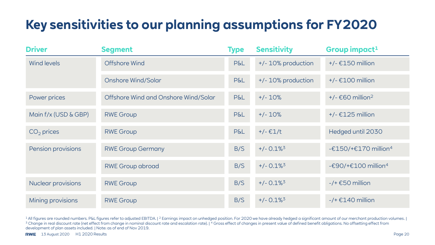### **Key sensitivities to our planning assumptions for FY2020**

| <b>Driver</b>        | <b>Segment</b>                       | <b>Type</b>    | <b>Sensitivity</b>       | Group impact <sup>1</sup>                         |
|----------------------|--------------------------------------|----------------|--------------------------|---------------------------------------------------|
| <b>Wind levels</b>   | Offshore Wind                        | P&L            | +/- 10% production       | $+/- \epsilon$ 150 million                        |
|                      | <b>Onshore Wind/Solar</b>            | P&L            | +/- 10% production       | $+/- \text{\textsterling}100$ million             |
| Power prices         | Offshore Wind and Onshore Wind/Solar | <b>P&amp;L</b> | $+/- 10%$                | $+/- \text{\textsterling}60$ million <sup>2</sup> |
| Main f/x (USD & GBP) | <b>RWE Group</b>                     | <b>P&amp;L</b> | $+/- 10%$                | $+/- \epsilon$ 125 million                        |
| $CO2$ prices         | <b>RWE Group</b>                     | <b>P&amp;L</b> | $+/- €1/t$               | Hedged until 2030                                 |
| Pension provisions   | <b>RWE Group Germany</b>             | B/S            | $+/- 0.1\%$ <sup>3</sup> | -€150/+€170 million <sup>4</sup>                  |
|                      | <b>RWE Group abroad</b>              | B/S            | $+/- 0.1\%$ <sup>3</sup> | - $E90/+E100$ million <sup>4</sup>                |
| Nuclear provisions   | <b>RWE Group</b>                     | B/S            | $+/- 0.1\%$ <sup>3</sup> | $-$ /+ $\epsilon$ 50 million                      |
| Mining provisions    | <b>RWE Group</b>                     | B/S            | $+/- 0.1\%$ <sup>3</sup> | $-$ /+ $£140$ million                             |

1All figures are rounded numbers. P&L figures refer to adjusted EBITDA. | 2 Earnings impact on unhedged position. For 2020 we have already hedged a significant amount of our merchant production volumes. | <sup>3</sup> Change in real discount rate (net effect from change in nominal discount rate and escalation rate). |<sup>4</sup> Gross effect of changes in present value of defined benefit obligations. No offsetting effect from development of plan assets included. | Note: as of end of Nov 2019.